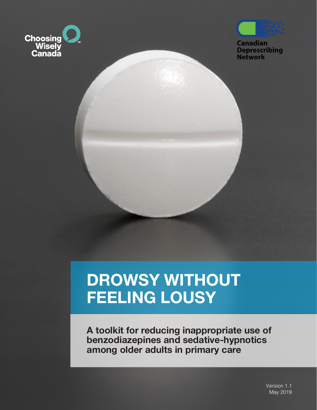



**Canadian Deprescribing Network** 

# **DROWSY WITHOUT FEELING LOUSY**

**A toolkit for reducing inappropriate use of benzodiazepines and sedative-hypnotics among older adults in primary care**

> Version 1.1 May 2019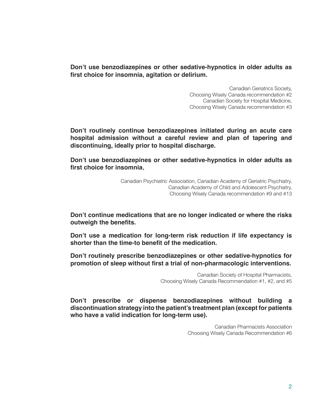**Don't use benzodiazepines or other sedative-hypnotics in older adults as first choice for insomnia, agitation or delirium.**

> Canadian Geriatrics Society, Choosing Wisely Canada recommendation #2 Canadian Society for Hospital Medicine, Choosing Wisely Canada recommendation #3

**Don't routinely continue benzodiazepines initiated during an acute care hospital admission without a careful review and plan of tapering and discontinuing, ideally prior to hospital discharge.**

**Don't use benzodiazepines or other sedative-hypnotics in older adults as first choice for insomnia**.

> Canadian Psychiatric Association, Canadian Academy of Geriatric Psychiatry, Canadian Academy of Child and Adolescent Psychiatry, Choosing Wisely Canada recommendation #9 and #13

**Don't continue medications that are no longer indicated or where the risks outweigh the benefits.**

**Don't use a medication for long-term risk reduction if life expectancy is shorter than the time-to benefit of the medication.**

**Don't routinely prescribe benzodiazepines or other sedative-hypnotics for promotion of sleep without first a trial of non-pharmacologic interventions.**

> Canadian Society of Hospital Pharmacists, Choosing Wisely Canada Recommendation #1, #2, and #5

**Don't prescribe or dispense benzodiazepines without building a discontinuation strategy into the patient's treatment plan (except for patients who have a valid indication for long-term use).**

> Canadian Pharmacists Association Choosing Wisely Canada Recommendation #6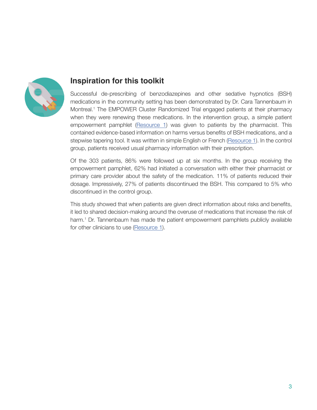

## **Inspiration for this toolkit**

Successful de-prescribing of benzodiazepines and other sedative hypnotics (BSH) medications in the community setting has been demonstrated by Dr. Cara Tannenbaum in Montreal.<sup>1</sup> The EMPOWER Cluster Randomized Trial engaged patients at their pharmacy when they were renewing these medications. In the intervention group, a simple patient empowerment pamphlet ([Resource 1\)](http://www.criugm.qc.ca/fichier/pdf/BENZOeng.pdf) was given to patients by the pharmacist. This contained evidence-based information on harms versus benefits of BSH medications, and a stepwise tapering tool. It was written in simple English or French ([Resource 1](http://www.criugm.qc.ca/fichier/pdf/BENZOeng.pdf)). In the control group, patients received usual pharmacy information with their prescription.

Of the 303 patients, 86% were followed up at six months. In the group receiving the empowerment pamphlet, 62% had initiated a conversation with either their pharmacist or primary care provider about the safety of the medication. 11% of patients reduced their dosage. Impressively, 27% of patients discontinued the BSH. This compared to 5% who discontinued in the control group.

This study showed that when patients are given direct information about risks and benefits, it led to shared decision-making around the overuse of medications that increase the risk of harm.<sup>1</sup> Dr. Tannenbaum has made the patient empowerment pamphlets publicly available for other clinicians to use [\(Resource 1\)](http://www.criugm.qc.ca/fichier/pdf/BENZOeng.pdf).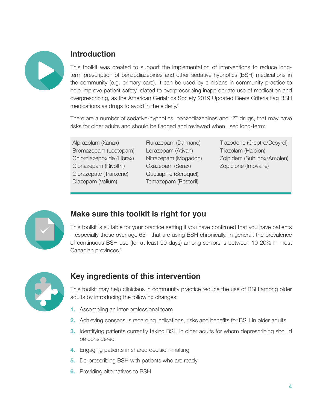

# **Introduction**

This toolkit was created to support the implementation of interventions to reduce longterm prescription of benzodiazepines and other sedative hypnotics (BSH) medications in the community (e.g. primary care). It can be used by clinicians in community practice to help improve patient safety related to overprescribing inappropriate use of medication and overprescribing, as the American Geriatrics Society 2019 Updated Beers Criteria flag BSH medications as drugs to avoid in the elderly.<sup>2</sup>

There are a number of sedative-hypnotics, benzodiazepines and "Z" drugs, that may have risks for older adults and should be flagged and reviewed when used long-term:

Alprazolam (Xanax) Bromazepam (Lectopam) Chlordiazepoxide (Librax) Clonazepam (Rivoltril) Clorazepate (Tranxene) Diazepam (Valium)

Flurazepam (Dalmane) Lorazepam (Ativan) Nitrazepam (Mogadon) Oxazepam (Serax) Quetiapine (Seroquel) Temazepam (Restoril)

Trazodone (Oleptro/Desyrel) Triazolam (Halcion) Zolpidem (Sublinox/Ambien) Zopiclone (Imovane)



# **Make sure this toolkit is right for you**

This toolkit is suitable for your practice setting if you have confirmed that you have patients – especially those over age 65 - that are using BSH chronically. In general, the prevalence of continuous BSH use (for at least 90 days) among seniors is between 10-20% in most Canadian provinces.3



# **Key ingredients of this intervention**

This toolkit may help clinicians in community practice reduce the use of BSH among older adults by introducing the following changes:

- **1.** Assembling an inter-professional team
- **2.** Achieving consensus regarding indications, risks and benefits for BSH in older adults
- **3.** Identifying patients currently taking BSH in older adults for whom deprescribing should be considered
- **4.** Engaging patients in shared decision-making
- **5.** De-prescribing BSH with patients who are ready
- **6.** Providing alternatives to BSH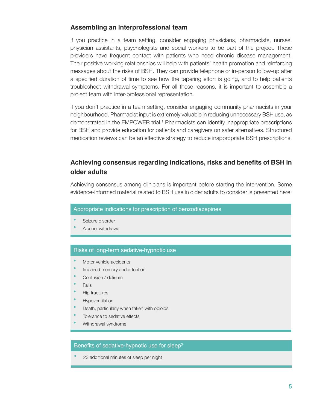## **Assembling an interprofessional team**

If you practice in a team setting, consider engaging physicians, pharmacists, nurses, physician assistants, psychologists and social workers to be part of the project. These providers have frequent contact with patients who need chronic disease management. Their positive working relationships will help with patients' health promotion and reinforcing messages about the risks of BSH. They can provide telephone or in-person follow-up after a specified duration of time to see how the tapering effort is going, and to help patients troubleshoot withdrawal symptoms. For all these reasons, it is important to assemble a project team with inter-professional representation.

If you don't practice in a team setting, consider engaging community pharmacists in your neighbourhood. Pharmacist input is extremely valuable in reducing unnecessary BSH use, as demonstrated in the EMPOWER trial.<sup>1</sup> Pharmacists can identify inappropriate prescriptions for BSH and provide education for patients and caregivers on safer alternatives. Structured medication reviews can be an effective strategy to reduce inappropriate BSH prescriptions.

## **Achieving consensus regarding indications, risks and benefits of BSH in older adults**

Achieving consensus among clinicians is important before starting the intervention. Some evidence-informed material related to BSH use in older adults to consider is presented here:

#### Appropriate indications for prescription of benzodiazepines

- Seizure disorder
- **Alcohol withdrawal**

#### Risks of long-term sedative-hypnotic use

- **Motor vehicle accidents**
- Impaired memory and attention
- Confusion / delirium
- **•**  Falls
- **Hip fractures**
- **•**  Hypoventilation
- Death, particularly when taken with opioids
- Tolerance to sedative effects
- Withdrawal syndrome

#### Benefits of sedative-hypnotic use for sleep<sup>3</sup>

23 additional minutes of sleep per night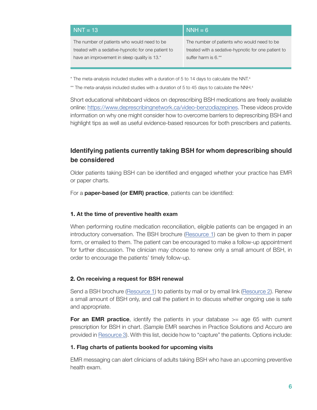| $NNT = 13$                                          | $NNH = 6$                                           |
|-----------------------------------------------------|-----------------------------------------------------|
| The number of patients who would need to be.        | The number of patients who would need to be.        |
| treated with a sedative-hypnotic for one patient to | treated with a sedative-hypnotic for one patient to |
| have an improvement in sleep quality is 13.*        | suffer harm is 6.**                                 |

 $*$  The meta-analysis included studies with a duration of 5 to 14 days to calculate the NNT.<sup>4</sup>

 $*$ \* The meta-analysis included studies with a duration of 5 to 45 days to calculate the NNH. $4$ 

Short educational whiteboard videos on deprescribing BSH medications are freely available online: https://www.deprescribingnetwork.ca/video-benzodiazepines. These videos provide information on why one might consider how to overcome barriers to deprescribing BSH and highlight tips as well as useful evidence-based resources for both prescribers and patients.

## **Identifying patients currently taking BSH for whom deprescribing should be considered**

Older patients taking BSH can be identified and engaged whether your practice has EMR or paper charts.

For a **paper-based (or EMR) practice**, patients can be identified:

#### **1. At the time of preventive health exam**

When performing routine medication reconciliation, eligible patients can be engaged in an introductory conversation. The BSH brochure [\(Resource 1](http://www.criugm.qc.ca/fichier/pdf/BENZOeng.pdf)) can be given to them in paper form, or emailed to them. The patient can be encouraged to make a follow-up appointment for further discussion. The clinician may choose to renew only a small amount of BSH, in order to encourage the patients' timely follow-up.

#### **2. On receiving a request for BSH renewal**

Send a BSH brochure ([Resource 1\)](http://www.criugm.qc.ca/fichier/pdf/BENZOeng.pdf) to patients by mail or by email link ([Resource 2\)](#page-10-0). Renew a small amount of BSH only, and call the patient in to discuss whether ongoing use is safe and appropriate.

**For an EMR practice**, identify the patients in your database  $>=$  age 65 with current prescription for BSH in chart. (Sample EMR searches in Practice Solutions and Accuro are provided in [Resource 3](#page-11-0)). With this list, decide how to "capture" the patients. Options include:

#### **1. Flag charts of patients booked for upcoming visits**

EMR messaging can alert clinicians of adults taking BSH who have an upcoming preventive health exam.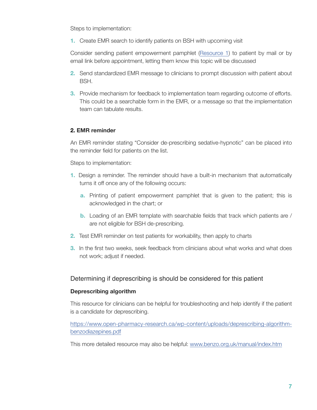Steps to implementation:

**1.** Create EMR search to identify patients on BSH with upcoming visit

Consider sending patient empowerment pamphlet [\(Resource 1\)](http://www.criugm.qc.ca/fichier/pdf/BENZOeng.pdf) to patient by mail or by email link before appointment, letting them know this topic will be discussed

- **2.** Send standardized EMR message to clinicians to prompt discussion with patient about BSH.
- **3.** Provide mechanism for feedback to implementation team regarding outcome of efforts. This could be a searchable form in the EMR, or a message so that the implementation team can tabulate results.

#### **2. EMR reminder**

An EMR reminder stating "Consider de-prescribing sedative-hypnotic" can be placed into the reminder field for patients on the list.

Steps to implementation:

- **1.** Design a reminder. The reminder should have a built-in mechanism that automatically turns it off once any of the following occurs:
	- **a.** Printing of patient empowerment pamphlet that is given to the patient; this is acknowledged in the chart; or
	- **b.** Loading of an EMR template with searchable fields that track which patients are / are not eligible for BSH de-prescribing.
- **2.** Test EMR reminder on test patients for workability, then apply to charts
- **3.** In the first two weeks, seek feedback from clinicians about what works and what does not work; adjust if needed.

## Determining if deprescribing is should be considered for this patient

#### **Deprescribing algorithm**

This resource for clinicians can be helpful for troubleshooting and help identify if the patient is a candidate for deprescribing.

https://www.open-pharmacy-research.ca/wp-content/uploads/deprescribing-algorithmbenzodiazepines.pdf

This more detailed resource may also be helpful: [www.benzo.org.uk/manual/index.htm](http://www.benzo.org.uk/manual/index.htm)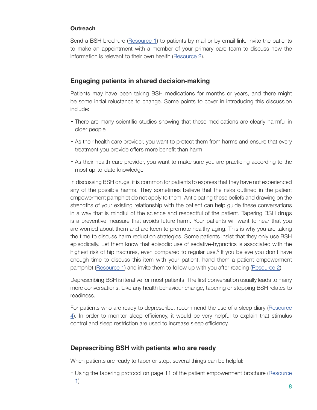#### **Outreach**

Send a BSH brochure [\(Resource 1\)](http://www.criugm.qc.ca/fichier/pdf/BENZOeng.pdf) to patients by mail or by email link. Invite the patients to make an appointment with a member of your primary care team to discuss how the information is relevant to their own health [\(Resource 2](#page-10-0)).

## **Engaging patients in shared decision-making**

Patients may have been taking BSH medications for months or years, and there might be some initial reluctance to change. Some points to cover in introducing this discussion include:

- There are many scientific studies showing that these medications are clearly harmful in older people
- As their health care provider, you want to protect them from harms and ensure that every treatment you provide offers more benefit than harm
- As their health care provider, you want to make sure you are practicing according to the most up-to-date knowledge

In discussing BSH drugs, it is common for patients to express that they have not experienced any of the possible harms. They sometimes believe that the risks outlined in the patient empowerment pamphlet do not apply to them. Anticipating these beliefs and drawing on the strengths of your existing relationship with the patient can help guide these conversations in a way that is mindful of the science and respectful of the patient. Tapering BSH drugs is a preventive measure that avoids future harm. Your patients will want to hear that you are worried about them and are keen to promote healthy aging. This is why you are taking the time to discuss harm reduction strategies. Some patients insist that they only use BSH episodically. Let them know that episodic use of sedative-hypnotics is associated with the highest risk of hip fractures, even compared to regular use.<sup>5</sup> If you believe you don't have enough time to discuss this item with your patient, hand them a patient empowerment pamphlet [\(Resource 1](http://www.criugm.qc.ca/fichier/pdf/BENZOeng.pdf)) and invite them to follow up with you after reading ([Resource 2\)](#page-10-0).

Deprescribing BSH is iterative for most patients. The first conversation usually leads to many more conversations. Like any health behaviour change, tapering or stopping BSH relates to readiness.

For patients who are ready to deprescribe, recommend the use of a sleep diary ([Resource](#page-11-0) [4](#page-11-0)). In order to monitor sleep efficiency, it would be very helpful to explain that stimulus control and sleep restriction are used to increase sleep efficiency.

## **Deprescribing BSH with patients who are ready**

When patients are ready to taper or stop, several things can be helpful:

- Using the tapering protocol on page 11 of the patient empowerment brochure ([Resource](http://www.criugm.qc.ca/fichier/pdf/BENZOeng.pdf) [1](http://www.criugm.qc.ca/fichier/pdf/BENZOeng.pdf))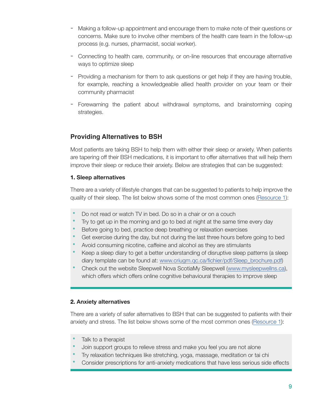- Making a follow-up appointment and encourage them to make note of their questions or concerns. Make sure to involve other members of the health care team in the follow-up process (e.g. nurses, pharmacist, social worker).
- Connecting to health care, community, or on-line resources that encourage alternative ways to optimize sleep
- Providing a mechanism for them to ask questions or get help if they are having trouble, for example, reaching a knowledgeable allied health provider on your team or their community pharmacist
- Forewarning the patient about withdrawal symptoms, and brainstorming coping strategies.

## **Providing Alternatives to BSH**

Most patients are taking BSH to help them with either their sleep or anxiety. When patients are tapering off their BSH medications, it is important to offer alternatives that will help them improve their sleep or reduce their anxiety. Below are strategies that can be suggested:

## **1. Sleep alternatives**

There are a variety of lifestyle changes that can be suggested to patients to help improve the quality of their sleep. The list below shows some of the most common ones ([Resource 1](http://www.criugm.qc.ca/fichier/pdf/BENZOeng.pdf)):

- Do not read or watch TV in bed. Do so in a chair or on a couch
- Try to get up in the morning and go to bed at night at the same time every day
- **Before going to bed, practice deep breathing or relaxation exercises**
- Get exercise during the day, but not during the last three hours before going to bed
- Avoid consuming nicotine, caffeine and alcohol as they are stimulants
- Keep a sleep diary to get a better understanding of disruptive sleep patterns (a sleep diary template can be found at: [www.criugm.qc.ca/fichier/pdf/Sleep\\_brochure.pdf](http://www.criugm.qc.ca/fichier/pdf/Sleep_brochure.pdf))
- Check out the website Sleepwell Nova ScotiaMy Sleepwell [\(www.mysleepwellns.ca\)](www.mysleepwellns.ca), which offers which offers online cognitive behavioural therapies to improve sleep

## **2. Anxiety alternatives**

There are a variety of safer alternatives to BSH that can be suggested to patients with their anxiety and stress. The list below shows some of the most common ones [\(Resource 1](http://www.criugm.qc.ca/fichier/pdf/BENZOeng.pdf)):

- Talk to a therapist
- Join support groups to relieve stress and make you feel you are not alone
- Try relaxation techniques like stretching, yoga, massage, meditation or tai chi
- Consider prescriptions for anti-anxiety medications that have less serious side effects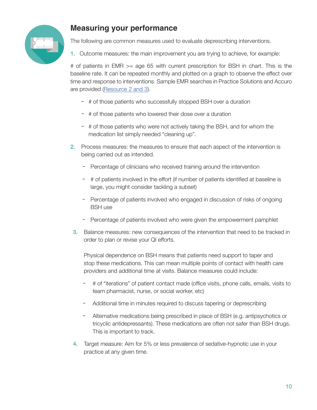

# **Measuring your performance**

The following are common measures used to evaluate deprescribing interventions.

**1.** Outcome measures: the main improvement you are trying to achieve, for example:

# of patients in EMR >= age 65 with current prescription for BSH in chart. This is the baseline rate. It can be repeated monthly and plotted on a graph to observe the effect over time and response to interventions. Sample EMR searches in Practice Solutions and Accuro are provided ([Resource 2](#page-10-0) [and 3\)](#page-11-0).

- # of those patients who successfully stopped BSH over a duration
- # of those patients who lowered their dose over a duration
- # of those patients who were not actively taking the BSH, and for whom the medication list simply needed "cleaning up".
- **2.** Process measures: the measures to ensure that each aspect of the intervention is being carried out as intended.
	- Percentage of clinicians who received training around the intervention
	- # of patients involved in the effort (if number of patients identified at baseline is large, you might consider tackling a subset)
	- Percentage of patients involved who engaged in discussion of risks of ongoing BSH use
	- Percentage of patients involved who were given the empowerment pamphlet
- **3.** Balance measures: new consequences of the intervention that need to be tracked in order to plan or revise your QI efforts.

Physical dependence on BSH means that patients need support to taper and stop these medications. This can mean multiple points of contact with health care providers and additional time at visits. Balance measures could include:

- # of "iterations" of patient contact made (office visits, phone calls, emails, visits to team pharmacist, nurse, or social worker, etc)
- Additional time in minutes required to discuss tapering or deprescribing
- Alternative medications being prescribed in place of BSH (e.g. antipsychotics or tricyclic antidepressants). These medications are often not safer than BSH drugs. This is important to track.
- **4.** Target measure: Aim for 5% or less prevalence of sedative-hypnotic use in your practice at any given time.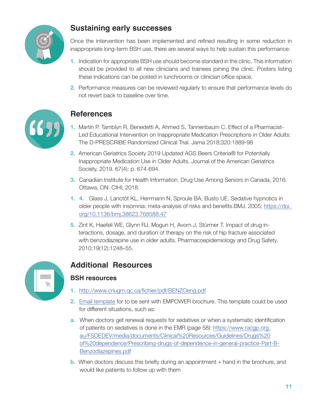<span id="page-10-0"></span>

# **Sustaining early successes**

Once the intervention has been implemented and refined resulting in some reduction in inappropriate long-term BSH use, there are several ways to help sustain this performance:

- **1.** Indication for appropriate BSH use should become standard in the clinic. This information should be provided to all new clinicians and trainees joining the clinic. Posters listing these indications can be posted in lunchrooms or clinician office space.
- **2.** Performance measures can be reviewed regularly to ensure that performance levels do not revert back to baseline over time.



# **References**

- **1.** Martin P, Tamblyn R, Benedetti A, Ahmed S, Tannenbaum C. Effect of a Pharmacist-Led Educational Intervention on Inappropriate Medication Prescriptions in Older Adults: The D-PRESCRIBE Randomized Clinical Trial. Jama 2018;320:1889-98
- **2.** American Geriatrics Society 2019 Updated AGS Beers Criteria® for Potentially Inappropriate Medication Use in Older Adults. Journal of the American Geriatrics Society, 2019. 67(4): p. 674-694.
- **3.** Canadian Institute for Health Information. Drug Use Among Seniors in Canada, 2016. Ottawa, ON: CIHI; 2018.
- **1. 4.** Glass J, Lanctôt KL, Herrmann N, Sproule BA, Busto UE. Sedative hypnotics in older people with insomnia: meta-analysis of risks and benefits.BMJ. 2005; [https://doi.](https://doi.%20org/10.1136/bmj.38623.768588.47)  [org/10.1136/bmj.38623.768588.47](https://doi.%20org/10.1136/bmj.38623.768588.47)
- **5.** Zint K, Haefeli WE, Glynn RJ, Mogun H, Avorn J, Stürmer T. Impact of drug interactions, dosage, and duration of therapy on the risk of hip fracture associated with benzodiazepine use in older adults. Pharmacoepidemiology and Drug Safety. 2010;19(12):1248–55.



# **Additional Resources**

## **BSH resources**

- **1.** <http://www.criugm.qc.ca/fichier/pdf/BENZOeng.pdf>
- **2.** [Email template](https://www.deprescribingnetwork.ca/patient-letter) for to be sent with EMPOWER brochure. This template could be used for different situations, such as:
- **a.** When doctors get renewal requests for sedatives or when a systematic identification of patients on sedatives is done in the EMR (page 58): https://www.racgp.org. au/FSDEDEV/media/documents/Clinical%20Resources/Guidelines/Drugs%20 of%20dependence/Prescribing-drugs-of-dependence-in-general-practice-Part-B-Benzodiazepines.pdf
- **b.** When doctors discuss this briefly during an appointment + hand in the brochure, and would like patients to follow up with them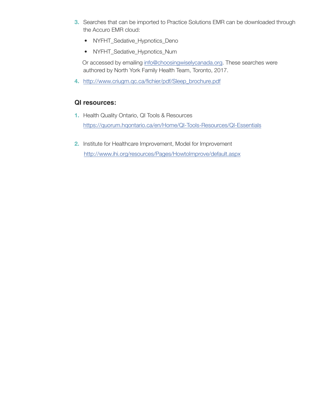- <span id="page-11-0"></span>**3.** Searches that can be imported to Practice Solutions EMR can be downloaded through the Accuro EMR cloud:
	- NYFHT\_Sedative\_Hypnotics\_Deno
	- NYFHT\_Sedative\_Hypnotics\_Num

Or accessed by emailing [info@choosingwiselycanada.org.](mailto:info%40choosingwiselycanada.org) These searches were authored by North York Family Health Team, Toronto, 2017.

**4.** http://www.criugm.qc.ca/fichier/pdf/Sleep\_brochure.pdf

## **QI resources:**

- **1.** Health Quality Ontario, QI Tools & Resources https://quorum.hqontario.ca/en/Home/QI-Tools-Resources/QI-Essentials
- **2.** Institute for Healthcare Improvement, Model for Improvement http://www.ihi.org/resources/Pages/HowtoImprove/default.aspx